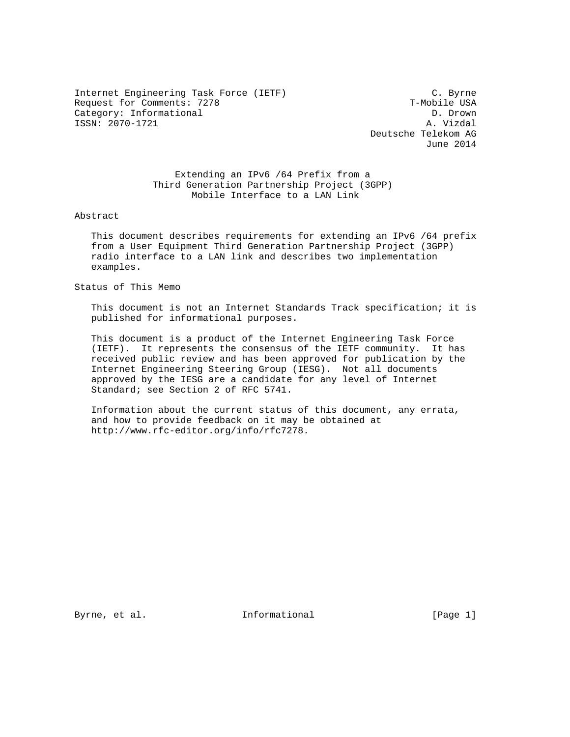Internet Engineering Task Force (IETF) C. Byrne Request for Comments: 7278 T-Mobile USA Category: Informational Category: T-Mobile USA Category: Informational D. Drown<br>
ISSN: 2070-1721 A. Vizdal ISSN: 2070-1721

 Deutsche Telekom AG June 2014

 Extending an IPv6 /64 Prefix from a Third Generation Partnership Project (3GPP) Mobile Interface to a LAN Link

Abstract

 This document describes requirements for extending an IPv6 /64 prefix from a User Equipment Third Generation Partnership Project (3GPP) radio interface to a LAN link and describes two implementation examples.

Status of This Memo

 This document is not an Internet Standards Track specification; it is published for informational purposes.

 This document is a product of the Internet Engineering Task Force (IETF). It represents the consensus of the IETF community. It has received public review and has been approved for publication by the Internet Engineering Steering Group (IESG). Not all documents approved by the IESG are a candidate for any level of Internet Standard; see Section 2 of RFC 5741.

 Information about the current status of this document, any errata, and how to provide feedback on it may be obtained at http://www.rfc-editor.org/info/rfc7278.

Byrne, et al. 100 and 111 and 111 and 111 and 12 and 12 and 13 and 13 and 13 and 13 and 13 and 13 and 13 and 1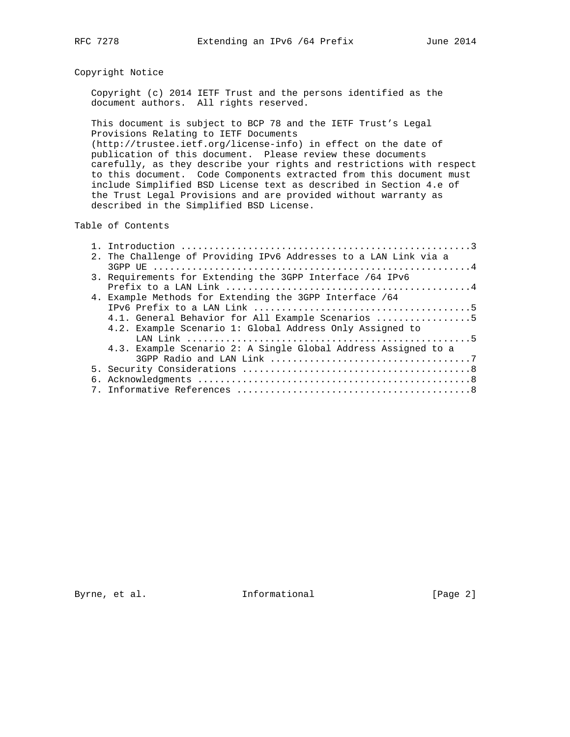## Copyright Notice

 Copyright (c) 2014 IETF Trust and the persons identified as the document authors. All rights reserved.

 This document is subject to BCP 78 and the IETF Trust's Legal Provisions Relating to IETF Documents (http://trustee.ietf.org/license-info) in effect on the date of publication of this document. Please review these documents carefully, as they describe your rights and restrictions with respect to this document. Code Components extracted from this document must include Simplified BSD License text as described in Section 4.e of the Trust Legal Provisions and are provided without warranty as described in the Simplified BSD License.

## Table of Contents

|  | 2. The Challenge of Providing IPv6 Addresses to a LAN Link via a |
|--|------------------------------------------------------------------|
|  |                                                                  |
|  | 3. Requirements for Extending the 3GPP Interface /64 IPv6        |
|  |                                                                  |
|  | 4. Example Methods for Extending the 3GPP Interface /64          |
|  |                                                                  |
|  | 4.1. General Behavior for All Example Scenarios 5                |
|  | 4.2. Example Scenario 1: Global Address Only Assigned to         |
|  |                                                                  |
|  | 4.3. Example Scenario 2: A Single Global Address Assigned to a   |
|  |                                                                  |
|  |                                                                  |
|  |                                                                  |
|  |                                                                  |

Byrne, et al. 1nformational 1992 [Page 2]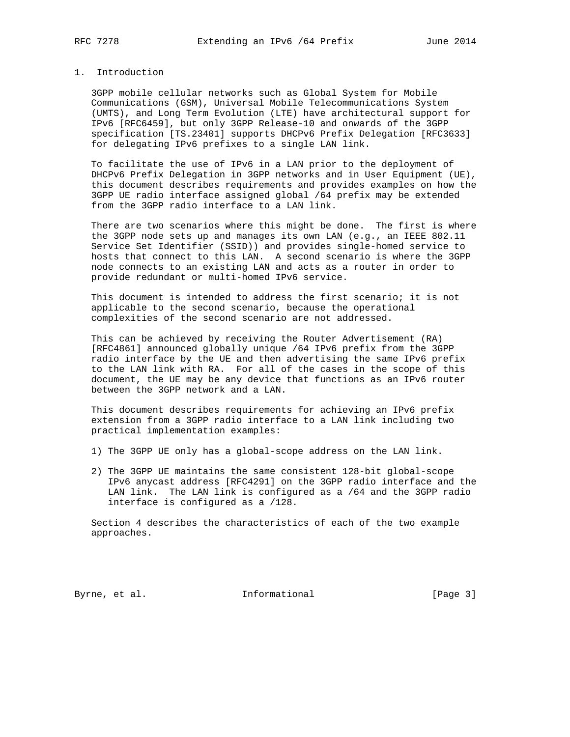## 1. Introduction

 3GPP mobile cellular networks such as Global System for Mobile Communications (GSM), Universal Mobile Telecommunications System (UMTS), and Long Term Evolution (LTE) have architectural support for IPv6 [RFC6459], but only 3GPP Release-10 and onwards of the 3GPP specification [TS.23401] supports DHCPv6 Prefix Delegation [RFC3633] for delegating IPv6 prefixes to a single LAN link.

 To facilitate the use of IPv6 in a LAN prior to the deployment of DHCPv6 Prefix Delegation in 3GPP networks and in User Equipment (UE), this document describes requirements and provides examples on how the 3GPP UE radio interface assigned global /64 prefix may be extended from the 3GPP radio interface to a LAN link.

 There are two scenarios where this might be done. The first is where the 3GPP node sets up and manages its own LAN (e.g., an IEEE 802.11 Service Set Identifier (SSID)) and provides single-homed service to hosts that connect to this LAN. A second scenario is where the 3GPP node connects to an existing LAN and acts as a router in order to provide redundant or multi-homed IPv6 service.

 This document is intended to address the first scenario; it is not applicable to the second scenario, because the operational complexities of the second scenario are not addressed.

 This can be achieved by receiving the Router Advertisement (RA) [RFC4861] announced globally unique /64 IPv6 prefix from the 3GPP radio interface by the UE and then advertising the same IPv6 prefix to the LAN link with RA. For all of the cases in the scope of this document, the UE may be any device that functions as an IPv6 router between the 3GPP network and a LAN.

 This document describes requirements for achieving an IPv6 prefix extension from a 3GPP radio interface to a LAN link including two practical implementation examples:

- 1) The 3GPP UE only has a global-scope address on the LAN link.
- 2) The 3GPP UE maintains the same consistent 128-bit global-scope IPv6 anycast address [RFC4291] on the 3GPP radio interface and the LAN link. The LAN link is configured as a /64 and the 3GPP radio interface is configured as a /128.

 Section 4 describes the characteristics of each of the two example approaches.

Byrne, et al. 1nformational 1992 [Page 3]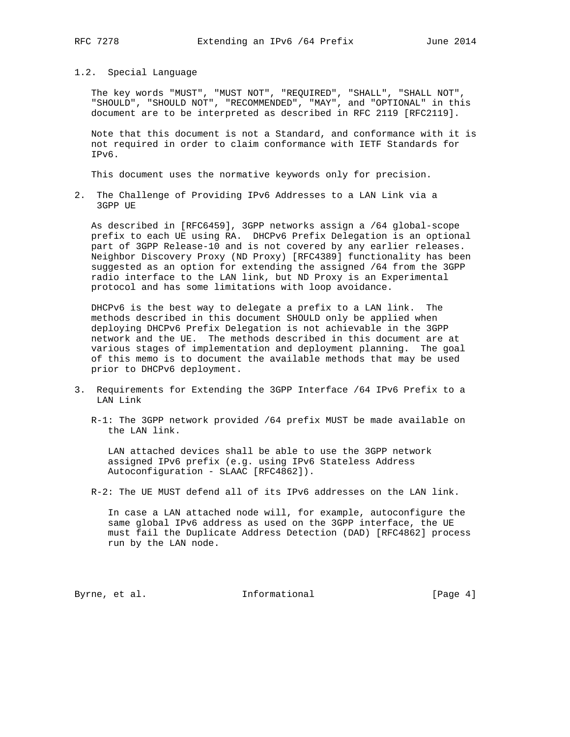## 1.2. Special Language

 The key words "MUST", "MUST NOT", "REQUIRED", "SHALL", "SHALL NOT", "SHOULD", "SHOULD NOT", "RECOMMENDED", "MAY", and "OPTIONAL" in this document are to be interpreted as described in RFC 2119 [RFC2119].

 Note that this document is not a Standard, and conformance with it is not required in order to claim conformance with IETF Standards for IPv6.

This document uses the normative keywords only for precision.

2. The Challenge of Providing IPv6 Addresses to a LAN Link via a 3GPP UE

 As described in [RFC6459], 3GPP networks assign a /64 global-scope prefix to each UE using RA. DHCPv6 Prefix Delegation is an optional part of 3GPP Release-10 and is not covered by any earlier releases. Neighbor Discovery Proxy (ND Proxy) [RFC4389] functionality has been suggested as an option for extending the assigned /64 from the 3GPP radio interface to the LAN link, but ND Proxy is an Experimental protocol and has some limitations with loop avoidance.

 DHCPv6 is the best way to delegate a prefix to a LAN link. The methods described in this document SHOULD only be applied when deploying DHCPv6 Prefix Delegation is not achievable in the 3GPP network and the UE. The methods described in this document are at various stages of implementation and deployment planning. The goal of this memo is to document the available methods that may be used prior to DHCPv6 deployment.

- 3. Requirements for Extending the 3GPP Interface /64 IPv6 Prefix to a LAN Link
	- R-1: The 3GPP network provided /64 prefix MUST be made available on the LAN link.

 LAN attached devices shall be able to use the 3GPP network assigned IPv6 prefix (e.g. using IPv6 Stateless Address Autoconfiguration - SLAAC [RFC4862]).

R-2: The UE MUST defend all of its IPv6 addresses on the LAN link.

 In case a LAN attached node will, for example, autoconfigure the same global IPv6 address as used on the 3GPP interface, the UE must fail the Duplicate Address Detection (DAD) [RFC4862] process run by the LAN node.

Byrne, et al. 1nformational 1992 [Page 4]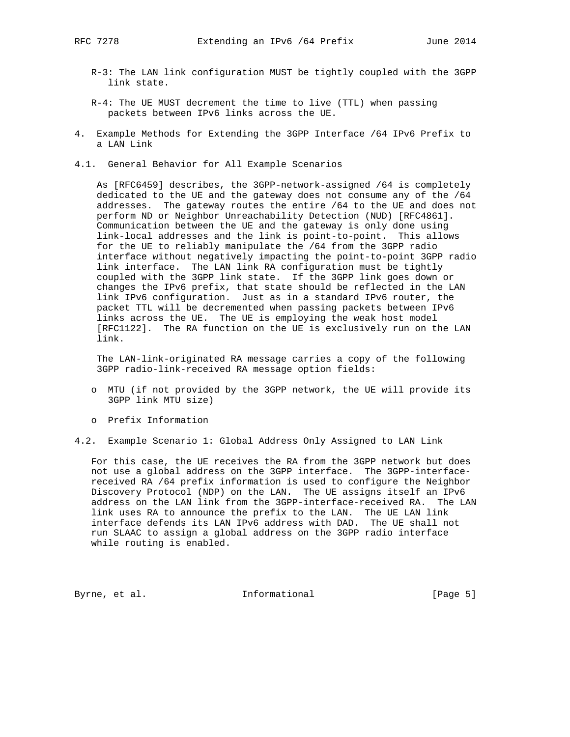- R-3: The LAN link configuration MUST be tightly coupled with the 3GPP link state.
- R-4: The UE MUST decrement the time to live (TTL) when passing packets between IPv6 links across the UE.
- 4. Example Methods for Extending the 3GPP Interface /64 IPv6 Prefix to a LAN Link
- 4.1. General Behavior for All Example Scenarios

 As [RFC6459] describes, the 3GPP-network-assigned /64 is completely dedicated to the UE and the gateway does not consume any of the /64 addresses. The gateway routes the entire /64 to the UE and does not perform ND or Neighbor Unreachability Detection (NUD) [RFC4861]. Communication between the UE and the gateway is only done using link-local addresses and the link is point-to-point. This allows for the UE to reliably manipulate the /64 from the 3GPP radio interface without negatively impacting the point-to-point 3GPP radio link interface. The LAN link RA configuration must be tightly coupled with the 3GPP link state. If the 3GPP link goes down or changes the IPv6 prefix, that state should be reflected in the LAN link IPv6 configuration. Just as in a standard IPv6 router, the packet TTL will be decremented when passing packets between IPv6 links across the UE. The UE is employing the weak host model [RFC1122]. The RA function on the UE is exclusively run on the LAN link.

 The LAN-link-originated RA message carries a copy of the following 3GPP radio-link-received RA message option fields:

- o MTU (if not provided by the 3GPP network, the UE will provide its 3GPP link MTU size)
- o Prefix Information
- 4.2. Example Scenario 1: Global Address Only Assigned to LAN Link

 For this case, the UE receives the RA from the 3GPP network but does not use a global address on the 3GPP interface. The 3GPP-interface received RA /64 prefix information is used to configure the Neighbor Discovery Protocol (NDP) on the LAN. The UE assigns itself an IPv6 address on the LAN link from the 3GPP-interface-received RA. The LAN link uses RA to announce the prefix to the LAN. The UE LAN link interface defends its LAN IPv6 address with DAD. The UE shall not run SLAAC to assign a global address on the 3GPP radio interface while routing is enabled.

Byrne, et al. 1nformational 1992 [Page 5]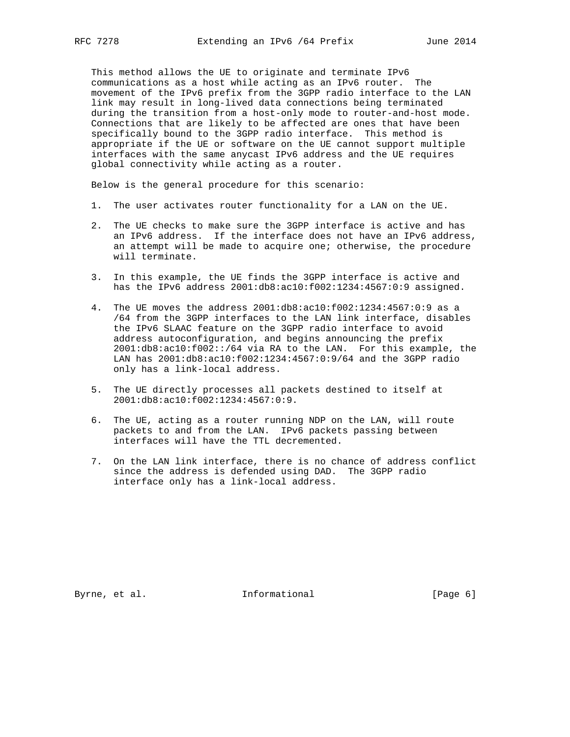This method allows the UE to originate and terminate IPv6 communications as a host while acting as an IPv6 router. The movement of the IPv6 prefix from the 3GPP radio interface to the LAN link may result in long-lived data connections being terminated during the transition from a host-only mode to router-and-host mode. Connections that are likely to be affected are ones that have been specifically bound to the 3GPP radio interface. This method is appropriate if the UE or software on the UE cannot support multiple interfaces with the same anycast IPv6 address and the UE requires global connectivity while acting as a router.

Below is the general procedure for this scenario:

- 1. The user activates router functionality for a LAN on the UE.
- 2. The UE checks to make sure the 3GPP interface is active and has an IPv6 address. If the interface does not have an IPv6 address, an attempt will be made to acquire one; otherwise, the procedure will terminate.
- 3. In this example, the UE finds the 3GPP interface is active and has the IPv6 address 2001:db8:ac10:f002:1234:4567:0:9 assigned.
- 4. The UE moves the address 2001:db8:ac10:f002:1234:4567:0:9 as a /64 from the 3GPP interfaces to the LAN link interface, disables the IPv6 SLAAC feature on the 3GPP radio interface to avoid address autoconfiguration, and begins announcing the prefix 2001:db8:ac10:f002::/64 via RA to the LAN. For this example, the LAN has 2001:db8:ac10:f002:1234:4567:0:9/64 and the 3GPP radio only has a link-local address.
- 5. The UE directly processes all packets destined to itself at 2001:db8:ac10:f002:1234:4567:0:9.
- 6. The UE, acting as a router running NDP on the LAN, will route packets to and from the LAN. IPv6 packets passing between interfaces will have the TTL decremented.
- 7. On the LAN link interface, there is no chance of address conflict since the address is defended using DAD. The 3GPP radio interface only has a link-local address.

Byrne, et al. 1nformational 1992 [Page 6]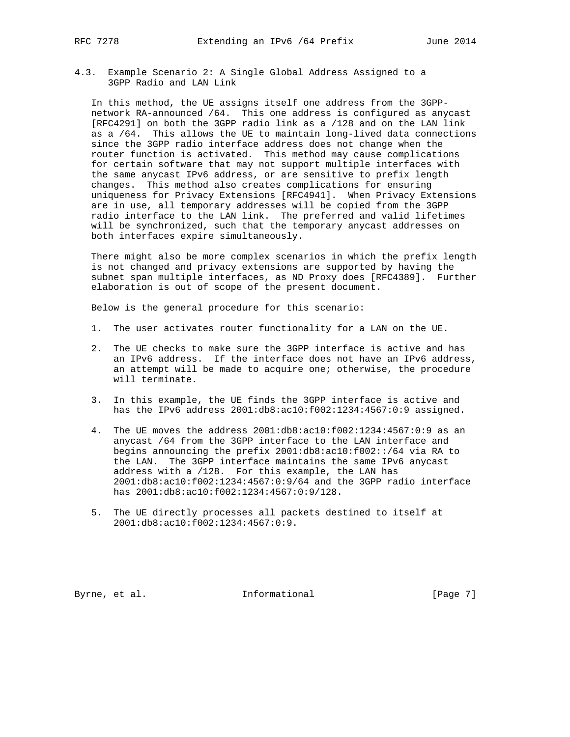4.3. Example Scenario 2: A Single Global Address Assigned to a 3GPP Radio and LAN Link

 In this method, the UE assigns itself one address from the 3GPP network RA-announced /64. This one address is configured as anycast [RFC4291] on both the 3GPP radio link as a /128 and on the LAN link as a /64. This allows the UE to maintain long-lived data connections since the 3GPP radio interface address does not change when the router function is activated. This method may cause complications for certain software that may not support multiple interfaces with the same anycast IPv6 address, or are sensitive to prefix length changes. This method also creates complications for ensuring uniqueness for Privacy Extensions [RFC4941]. When Privacy Extensions are in use, all temporary addresses will be copied from the 3GPP radio interface to the LAN link. The preferred and valid lifetimes will be synchronized, such that the temporary anycast addresses on both interfaces expire simultaneously.

 There might also be more complex scenarios in which the prefix length is not changed and privacy extensions are supported by having the subnet span multiple interfaces, as ND Proxy does [RFC4389]. Further elaboration is out of scope of the present document.

Below is the general procedure for this scenario:

- 1. The user activates router functionality for a LAN on the UE.
- 2. The UE checks to make sure the 3GPP interface is active and has an IPv6 address. If the interface does not have an IPv6 address, an attempt will be made to acquire one; otherwise, the procedure will terminate.
- 3. In this example, the UE finds the 3GPP interface is active and has the IPv6 address 2001:db8:ac10:f002:1234:4567:0:9 assigned.
- 4. The UE moves the address 2001:db8:ac10:f002:1234:4567:0:9 as an anycast /64 from the 3GPP interface to the LAN interface and begins announcing the prefix 2001:db8:ac10:f002::/64 via RA to the LAN. The 3GPP interface maintains the same IPv6 anycast address with a /128. For this example, the LAN has 2001:db8:ac10:f002:1234:4567:0:9/64 and the 3GPP radio interface has 2001:db8:ac10:f002:1234:4567:0:9/128.
- 5. The UE directly processes all packets destined to itself at 2001:db8:ac10:f002:1234:4567:0:9.

Byrne, et al. 1nformational 1992 [Page 7]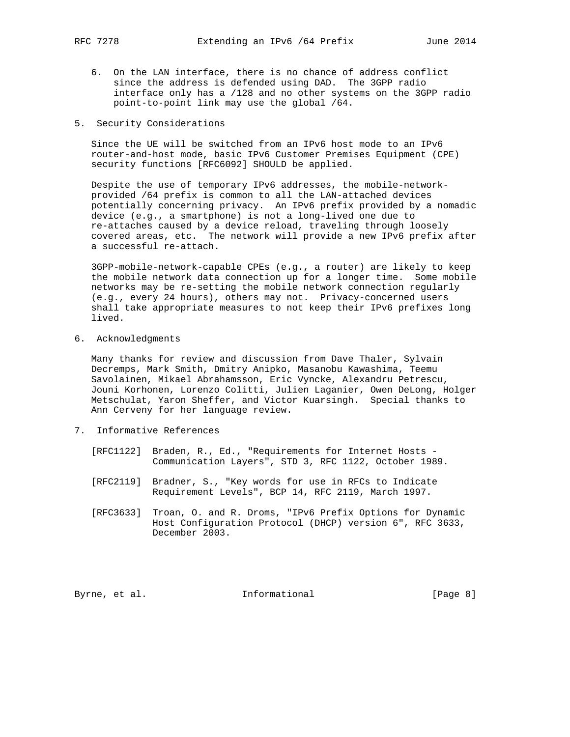- 6. On the LAN interface, there is no chance of address conflict since the address is defended using DAD. The 3GPP radio interface only has a /128 and no other systems on the 3GPP radio point-to-point link may use the global /64.
- 5. Security Considerations

 Since the UE will be switched from an IPv6 host mode to an IPv6 router-and-host mode, basic IPv6 Customer Premises Equipment (CPE) security functions [RFC6092] SHOULD be applied.

 Despite the use of temporary IPv6 addresses, the mobile-network provided /64 prefix is common to all the LAN-attached devices potentially concerning privacy. An IPv6 prefix provided by a nomadic device (e.g., a smartphone) is not a long-lived one due to re-attaches caused by a device reload, traveling through loosely covered areas, etc. The network will provide a new IPv6 prefix after a successful re-attach.

 3GPP-mobile-network-capable CPEs (e.g., a router) are likely to keep the mobile network data connection up for a longer time. Some mobile networks may be re-setting the mobile network connection regularly (e.g., every 24 hours), others may not. Privacy-concerned users shall take appropriate measures to not keep their IPv6 prefixes long lived.

6. Acknowledgments

 Many thanks for review and discussion from Dave Thaler, Sylvain Decremps, Mark Smith, Dmitry Anipko, Masanobu Kawashima, Teemu Savolainen, Mikael Abrahamsson, Eric Vyncke, Alexandru Petrescu, Jouni Korhonen, Lorenzo Colitti, Julien Laganier, Owen DeLong, Holger Metschulat, Yaron Sheffer, and Victor Kuarsingh. Special thanks to Ann Cerveny for her language review.

- 7. Informative References
	- [RFC1122] Braden, R., Ed., "Requirements for Internet Hosts Communication Layers", STD 3, RFC 1122, October 1989.
	- [RFC2119] Bradner, S., "Key words for use in RFCs to Indicate Requirement Levels", BCP 14, RFC 2119, March 1997.
	- [RFC3633] Troan, O. and R. Droms, "IPv6 Prefix Options for Dynamic Host Configuration Protocol (DHCP) version 6", RFC 3633, December 2003.

Byrne, et al. 1nformational 1992 [Page 8]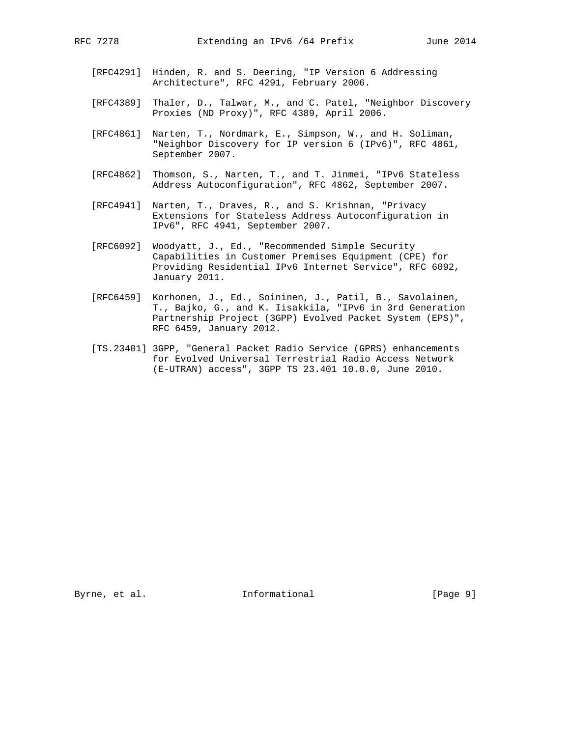- [RFC4291] Hinden, R. and S. Deering, "IP Version 6 Addressing Architecture", RFC 4291, February 2006.
- [RFC4389] Thaler, D., Talwar, M., and C. Patel, "Neighbor Discovery Proxies (ND Proxy)", RFC 4389, April 2006.
- [RFC4861] Narten, T., Nordmark, E., Simpson, W., and H. Soliman, "Neighbor Discovery for IP version 6 (IPv6)", RFC 4861, September 2007.
- [RFC4862] Thomson, S., Narten, T., and T. Jinmei, "IPv6 Stateless Address Autoconfiguration", RFC 4862, September 2007.
- [RFC4941] Narten, T., Draves, R., and S. Krishnan, "Privacy Extensions for Stateless Address Autoconfiguration in IPv6", RFC 4941, September 2007.
- [RFC6092] Woodyatt, J., Ed., "Recommended Simple Security Capabilities in Customer Premises Equipment (CPE) for Providing Residential IPv6 Internet Service", RFC 6092, January 2011.
- [RFC6459] Korhonen, J., Ed., Soininen, J., Patil, B., Savolainen, T., Bajko, G., and K. Iisakkila, "IPv6 in 3rd Generation Partnership Project (3GPP) Evolved Packet System (EPS)", RFC 6459, January 2012.
- [TS.23401] 3GPP, "General Packet Radio Service (GPRS) enhancements for Evolved Universal Terrestrial Radio Access Network (E-UTRAN) access", 3GPP TS 23.401 10.0.0, June 2010.

Byrne, et al. 10 Informational 1999 [Page 9]